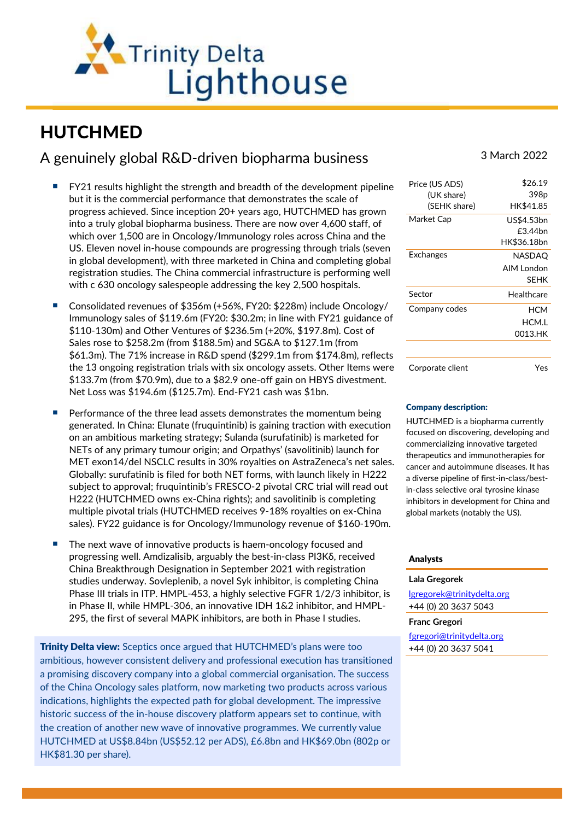

# HUTCHMED

# A genuinely global R&D-driven biopharma business 3 March 2022

- FY21 results highlight the strength and breadth of the development pipeline but it is the commercial performance that demonstrates the scale of progress achieved. Since inception 20+ years ago, HUTCHMED has grown into a truly global biopharma business. There are now over 4,600 staff, of which over 1,500 are in Oncology/Immunology roles across China and the US. Eleven novel in-house compounds are progressing through trials (seven in global development), with three marketed in China and completing global registration studies. The China commercial infrastructure is performing well with c 630 oncology salespeople addressing the key 2,500 hospitals.
- Consolidated revenues of \$356m (+56%, FY20: \$228m) include Oncology/ Immunology sales of \$119.6m (FY20: \$30.2m; in line with FY21 guidance of \$110-130m) and Other Ventures of \$236.5m (+20%, \$197.8m). Cost of Sales rose to \$258.2m (from \$188.5m) and SG&A to \$127.1m (from \$61.3m). The 71% increase in R&D spend (\$299.1m from \$174.8m), reflects the 13 ongoing registration trials with six oncology assets. Other Items were \$133.7m (from \$70.9m), due to a \$82.9 one-off gain on HBYS divestment. Net Loss was \$194.6m (\$125.7m). End-FY21 cash was \$1bn.
- Performance of the three lead assets demonstrates the momentum being generated. In China: Elunate (fruquintinib) is gaining traction with execution on an ambitious marketing strategy; Sulanda (surufatinib) is marketed for NETs of any primary tumour origin; and Orpathys' (savolitinib) launch for MET exon14/del NSCLC results in 30% royalties on AstraZeneca's net sales. Globally: surufatinib is filed for both NET forms, with launch likely in H222 subject to approval; fruquintinib's FRESCO-2 pivotal CRC trial will read out H222 (HUTCHMED owns ex-China rights); and savolitinib is completing multiple pivotal trials (HUTCHMED receives 9-18% royalties on ex-China sales). FY22 guidance is for Oncology/Immunology revenue of \$160-190m.
- The next wave of innovative products is haem-oncology focused and progressing well. Amdizalisib, arguably the best-in-class PI3Kδ, received China Breakthrough Designation in September 2021 with registration studies underway. Sovleplenib, a novel Syk inhibitor, is completing China Phase III trials in ITP. HMPL-453, a highly selective FGFR 1/2/3 inhibitor, is in Phase II, while HMPL-306, an innovative IDH 1&2 inhibitor, and HMPL-295, the first of several MAPK inhibitors, are both in Phase I studies.

**Trinity Delta view:** Sceptics once argued that HUTCHMED's plans were too ambitious, however consistent delivery and professional execution has transitioned a promising discovery company into a global commercial organisation. The success of the China Oncology sales platform, now marketing two products across various indications, highlights the expected path for global development. The impressive historic success of the in-house discovery platform appears set to continue, with the creation of another new wave of innovative programmes. We currently value HUTCHMED at US\$8.84bn (US\$52.12 per ADS), £6.8bn and HK\$69.0bn (802p or HK\$81.30 per share).

| Price (US ADS)   | \$26.19     |
|------------------|-------------|
| (UK share)       | 398p        |
| (SEHK share)     | HK\$41.85   |
| Market Cap       | US\$4.53bn  |
|                  | £344hn      |
|                  | HK\$36.18bn |
| Exchanges        | NASDAO      |
|                  | AIM London  |
|                  | <b>SFHK</b> |
| Sector           | Healthcare  |
| Company codes    | НСМ         |
|                  | HCM.I       |
|                  | 0013.HK     |
|                  |             |
| Corporate client | Yes         |

### Company description:

HUTCHMED is a biopharma currently focused on discovering, developing and commercializing innovative targeted therapeutics and immunotherapies for cancer and autoimmune diseases. It has a diverse pipeline of first-in-class/bestin-class selective oral tyrosine kinase inhibitors in development for China and global markets (notably the US).

## Analysts

#### **Lala Gregorek**

[lgregorek@trinitydelta.org](mailto:lgregorek@trinitydelta.org) +44 (0) 20 3637 5043

#### **Franc Gregori**

[fgregori@trinitydelta.org](mailto:fgregori@trinitydelta.org) +44 (0) 20 3637 5041